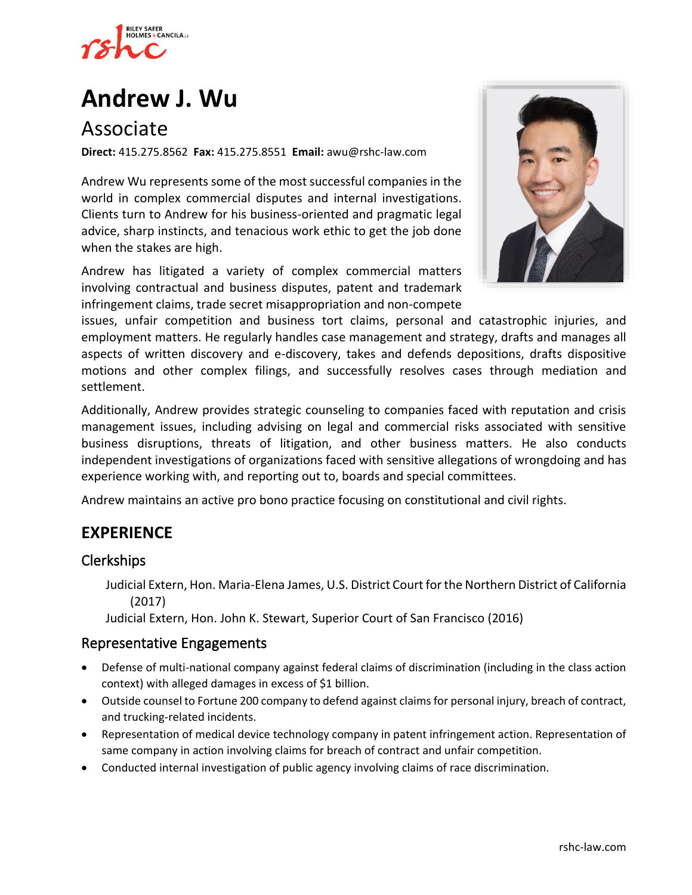

# **[Andrew J. Wu](https://www.rshc-law.com/attorneys/attorney/andrew-j.-wu)**

# Associate

**Direct:** 415.275.8562 **Fax:** 415.275.8551 **Email:** awu@rshc-law.com

Andrew Wu represents some of the most successful companies in the world in complex commercial disputes and internal investigations. Clients turn to Andrew for his business-oriented and pragmatic legal advice, sharp instincts, and tenacious work ethic to get the job done when the stakes are high.

Andrew has litigated a variety of complex commercial matters involving contractual and business disputes, patent and trademark infringement claims, trade secret misappropriation and non-compete



issues, unfair competition and business tort claims, personal and catastrophic injuries, and employment matters. He regularly handles case management and strategy, drafts and manages all aspects of written discovery and e-discovery, takes and defends depositions, drafts dispositive motions and other complex filings, and successfully resolves cases through mediation and settlement.

Additionally, Andrew provides strategic counseling to companies faced with reputation and crisis management issues, including advising on legal and commercial risks associated with sensitive business disruptions, threats of litigation, and other business matters. He also conducts independent investigations of organizations faced with sensitive allegations of wrongdoing and has experience working with, and reporting out to, boards and special committees.

Andrew maintains an active pro bono practice focusing on constitutional and civil rights.

## **EXPERIENCE**

#### Clerkships

Judicial Extern, Hon. Maria-Elena James, U.S. District Court for the Northern District of California (2017)

Judicial Extern, Hon. John K. Stewart, Superior Court of San Francisco (2016)

#### Representative Engagements

- Defense of multi-national company against federal claims of discrimination (including in the class action context) with alleged damages in excess of \$1 billion.
- Outside counsel to Fortune 200 company to defend against claims for personal injury, breach of contract, and trucking-related incidents.
- Representation of medical device technology company in patent infringement action. Representation of same company in action involving claims for breach of contract and unfair competition.
- Conducted internal investigation of public agency involving claims of race discrimination.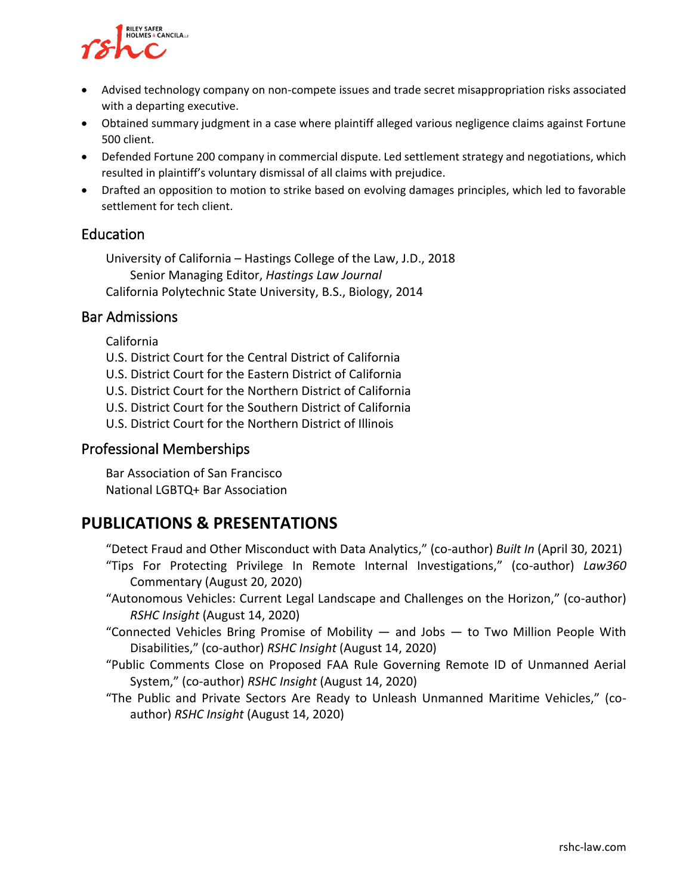

- Advised technology company on non-compete issues and trade secret misappropriation risks associated with a departing executive.
- Obtained summary judgment in a case where plaintiff alleged various negligence claims against Fortune 500 client.
- Defended Fortune 200 company in commercial dispute. Led settlement strategy and negotiations, which resulted in plaintiff's voluntary dismissal of all claims with prejudice.
- Drafted an opposition to motion to strike based on evolving damages principles, which led to favorable settlement for tech client.

#### Education

University of California – Hastings College of the Law, J.D., 2018 Senior Managing Editor, *Hastings Law Journal* California Polytechnic State University, B.S., Biology, 2014

#### Bar Admissions

California

- U.S. District Court for the Central District of California
- U.S. District Court for the Eastern District of California
- U.S. District Court for the Northern District of California
- U.S. District Court for the Southern District of California
- U.S. District Court for the Northern District of Illinois

#### Professional Memberships

Bar Association of San Francisco National LGBTQ+ Bar Association

## **PUBLICATIONS & PRESENTATIONS**

"Detect Fraud and Other Misconduct with Data Analytics," (co-author) *Built In* (April 30, 2021)

- "Tips For Protecting Privilege In Remote Internal Investigations," (co-author) *Law360*  Commentary (August 20, 2020)
- "Autonomous Vehicles: Current Legal Landscape and Challenges on the Horizon," (co-author) *RSHC Insight* (August 14, 2020)
- "Connected Vehicles Bring Promise of Mobility  $-$  and Jobs  $-$  to Two Million People With Disabilities," (co-author) *RSHC Insight* (August 14, 2020)
- "Public Comments Close on Proposed FAA Rule Governing Remote ID of Unmanned Aerial System," (co-author) *RSHC Insight* (August 14, 2020)
- "The Public and Private Sectors Are Ready to Unleash Unmanned Maritime Vehicles," (coauthor) *RSHC Insight* (August 14, 2020)